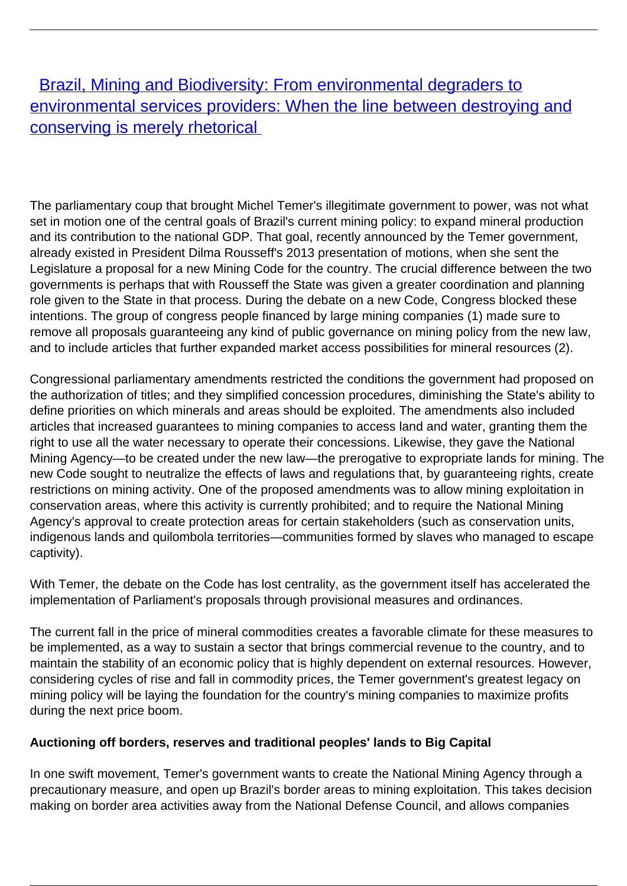**[Brazil, Mining and Biodiversity: From environmental degraders to](/bulletin-articles/brazil-mining-and-biodiversity-from-environmental-degraders-to-environmental-services-providers-when-the)** [environmental services providers: When the line between destroying and](/bulletin-articles/brazil-mining-and-biodiversity-from-environmental-degraders-to-environmental-services-providers-when-the) [conserving is merely rhetorical](/bulletin-articles/brazil-mining-and-biodiversity-from-environmental-degraders-to-environmental-services-providers-when-the)

The parliamentary coup that brought Michel Temer's illegitimate government to power, was not what set in motion one of the central goals of Brazil's current mining policy: to expand mineral production and its contribution to the national GDP. That goal, recently announced by the Temer government, already existed in President Dilma Rousseff's 2013 presentation of motions, when she sent the Legislature a proposal for a new Mining Code for the country. The crucial difference between the two governments is perhaps that with Rousseff the State was given a greater coordination and planning role given to the State in that process. During the debate on a new Code, Congress blocked these intentions. The group of congress people financed by large mining companies (1) made sure to remove all proposals guaranteeing any kind of public governance on mining policy from the new law, and to include articles that further expanded market access possibilities for mineral resources (2).

Congressional parliamentary amendments restricted the conditions the government had proposed on the authorization of titles; and they simplified concession procedures, diminishing the State's ability to define priorities on which minerals and areas should be exploited. The amendments also included articles that increased guarantees to mining companies to access land and water, granting them the right to use all the water necessary to operate their concessions. Likewise, they gave the National Mining Agency—to be created under the new law—the prerogative to expropriate lands for mining. The new Code sought to neutralize the effects of laws and regulations that, by guaranteeing rights, create restrictions on mining activity. One of the proposed amendments was to allow mining exploitation in conservation areas, where this activity is currently prohibited; and to require the National Mining Agency's approval to create protection areas for certain stakeholders (such as conservation units, indigenous lands and quilombola territories—communities formed by slaves who managed to escape captivity).

With Temer, the debate on the Code has lost centrality, as the government itself has accelerated the implementation of Parliament's proposals through provisional measures and ordinances.

The current fall in the price of mineral commodities creates a favorable climate for these measures to be implemented, as a way to sustain a sector that brings commercial revenue to the country, and to maintain the stability of an economic policy that is highly dependent on external resources. However, considering cycles of rise and fall in commodity prices, the Temer government's greatest legacy on mining policy will be laying the foundation for the country's mining companies to maximize profits during the next price boom.

## **Auctioning off borders, reserves and traditional peoples' lands to Big Capital**

In one swift movement, Temer's government wants to create the National Mining Agency through a precautionary measure, and open up Brazil's border areas to mining exploitation. This takes decision making on border area activities away from the National Defense Council, and allows companies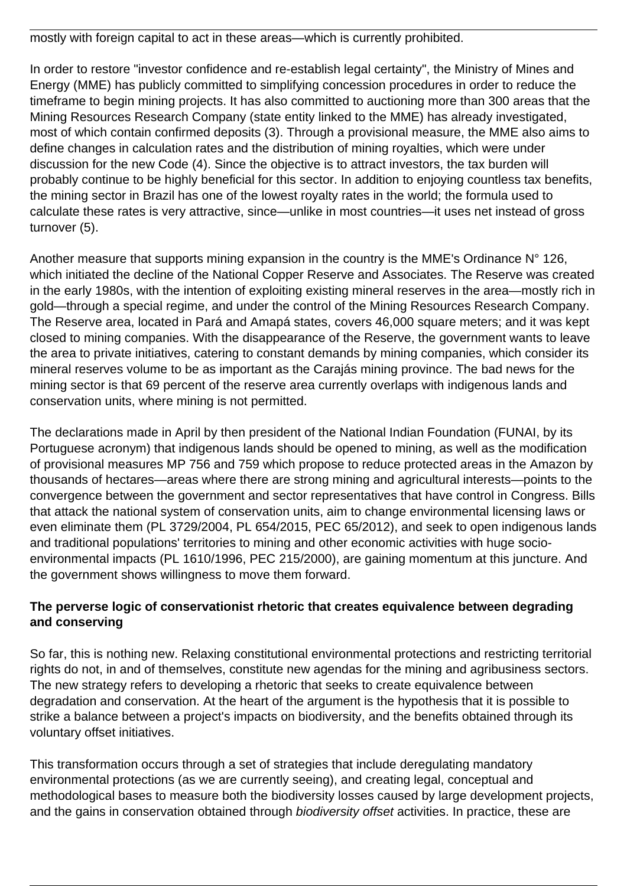mostly with foreign capital to act in these areas—which is currently prohibited.

In order to restore "investor confidence and re-establish legal certainty", the Ministry of Mines and Energy (MME) has publicly committed to simplifying concession procedures in order to reduce the timeframe to begin mining projects. It has also committed to auctioning more than 300 areas that the Mining Resources Research Company (state entity linked to the MME) has already investigated, most of which contain confirmed deposits (3). Through a provisional measure, the MME also aims to define changes in calculation rates and the distribution of mining royalties, which were under discussion for the new Code (4). Since the objective is to attract investors, the tax burden will probably continue to be highly beneficial for this sector. In addition to enjoying countless tax benefits, the mining sector in Brazil has one of the lowest royalty rates in the world; the formula used to calculate these rates is very attractive, since—unlike in most countries—it uses net instead of gross turnover (5).

Another measure that supports mining expansion in the country is the MME's Ordinance N° 126, which initiated the decline of the National Copper Reserve and Associates. The Reserve was created in the early 1980s, with the intention of exploiting existing mineral reserves in the area—mostly rich in gold—through a special regime, and under the control of the Mining Resources Research Company. The Reserve area, located in Pará and Amapá states, covers 46,000 square meters; and it was kept closed to mining companies. With the disappearance of the Reserve, the government wants to leave the area to private initiatives, catering to constant demands by mining companies, which consider its mineral reserves volume to be as important as the Carajás mining province. The bad news for the mining sector is that 69 percent of the reserve area currently overlaps with indigenous lands and conservation units, where mining is not permitted.

The declarations made in April by then president of the National Indian Foundation (FUNAI, by its Portuguese acronym) that indigenous lands should be opened to mining, as well as the modification of provisional measures MP 756 and 759 which propose to reduce protected areas in the Amazon by thousands of hectares—areas where there are strong mining and agricultural interests—points to the convergence between the government and sector representatives that have control in Congress. Bills that attack the national system of conservation units, aim to change environmental licensing laws or even eliminate them (PL 3729/2004, PL 654/2015, PEC 65/2012), and seek to open indigenous lands and traditional populations' territories to mining and other economic activities with huge socioenvironmental impacts (PL 1610/1996, PEC 215/2000), are gaining momentum at this juncture. And the government shows willingness to move them forward.

#### **The perverse logic of conservationist rhetoric that creates equivalence between degrading and conserving**

So far, this is nothing new. Relaxing constitutional environmental protections and restricting territorial rights do not, in and of themselves, constitute new agendas for the mining and agribusiness sectors. The new strategy refers to developing a rhetoric that seeks to create equivalence between degradation and conservation. At the heart of the argument is the hypothesis that it is possible to strike a balance between a project's impacts on biodiversity, and the benefits obtained through its voluntary offset initiatives.

This transformation occurs through a set of strategies that include deregulating mandatory environmental protections (as we are currently seeing), and creating legal, conceptual and methodological bases to measure both the biodiversity losses caused by large development projects, and the gains in conservation obtained through biodiversity offset activities. In practice, these are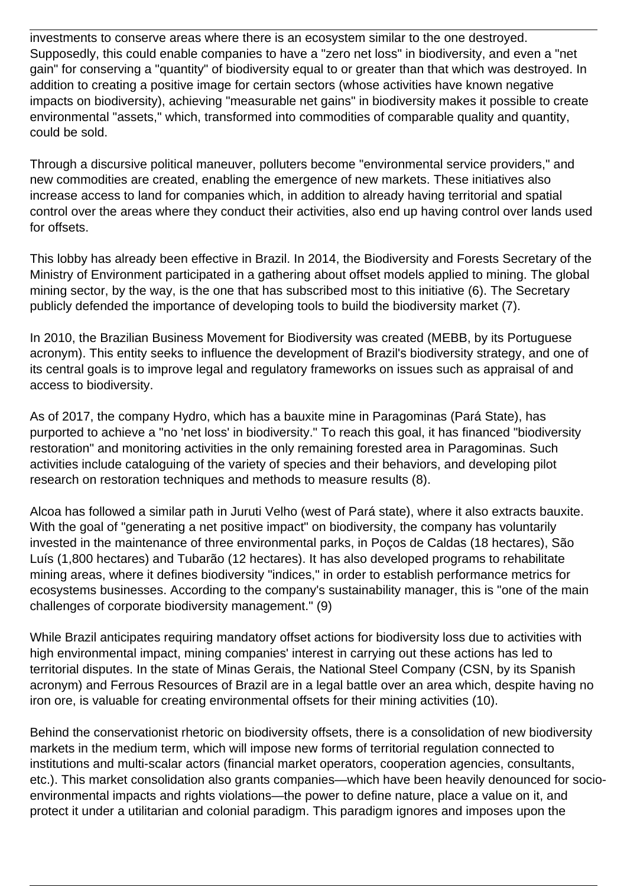investments to conserve areas where there is an ecosystem similar to the one destroyed. Supposedly, this could enable companies to have a "zero net loss" in biodiversity, and even a "net gain" for conserving a "quantity" of biodiversity equal to or greater than that which was destroyed. In addition to creating a positive image for certain sectors (whose activities have known negative impacts on biodiversity), achieving "measurable net gains" in biodiversity makes it possible to create environmental "assets," which, transformed into commodities of comparable quality and quantity, could be sold.

Through a discursive political maneuver, polluters become "environmental service providers," and new commodities are created, enabling the emergence of new markets. These initiatives also increase access to land for companies which, in addition to already having territorial and spatial control over the areas where they conduct their activities, also end up having control over lands used for offsets.

This lobby has already been effective in Brazil. In 2014, the Biodiversity and Forests Secretary of the Ministry of Environment participated in a gathering about offset models applied to mining. The global mining sector, by the way, is the one that has subscribed most to this initiative (6). The Secretary publicly defended the importance of developing tools to build the biodiversity market (7).

In 2010, the Brazilian Business Movement for Biodiversity was created (MEBB, by its Portuguese acronym). This entity seeks to influence the development of Brazil's biodiversity strategy, and one of its central goals is to improve legal and regulatory frameworks on issues such as appraisal of and access to biodiversity.

As of 2017, the company Hydro, which has a bauxite mine in Paragominas (Pará State), has purported to achieve a "no 'net loss' in biodiversity." To reach this goal, it has financed "biodiversity restoration" and monitoring activities in the only remaining forested area in Paragominas. Such activities include cataloguing of the variety of species and their behaviors, and developing pilot research on restoration techniques and methods to measure results (8).

Alcoa has followed a similar path in Juruti Velho (west of Pará state), where it also extracts bauxite. With the goal of "generating a net positive impact" on biodiversity, the company has voluntarily invested in the maintenance of three environmental parks, in Poços de Caldas (18 hectares), São Luís (1,800 hectares) and Tubarão (12 hectares). It has also developed programs to rehabilitate mining areas, where it defines biodiversity "indices," in order to establish performance metrics for ecosystems businesses. According to the company's sustainability manager, this is "one of the main challenges of corporate biodiversity management." (9)

While Brazil anticipates requiring mandatory offset actions for biodiversity loss due to activities with high environmental impact, mining companies' interest in carrying out these actions has led to territorial disputes. In the state of Minas Gerais, the National Steel Company (CSN, by its Spanish acronym) and Ferrous Resources of Brazil are in a legal battle over an area which, despite having no iron ore, is valuable for creating environmental offsets for their mining activities (10).

Behind the conservationist rhetoric on biodiversity offsets, there is a consolidation of new biodiversity markets in the medium term, which will impose new forms of territorial regulation connected to institutions and multi-scalar actors (financial market operators, cooperation agencies, consultants, etc.). This market consolidation also grants companies—which have been heavily denounced for socioenvironmental impacts and rights violations—the power to define nature, place a value on it, and protect it under a utilitarian and colonial paradigm. This paradigm ignores and imposes upon the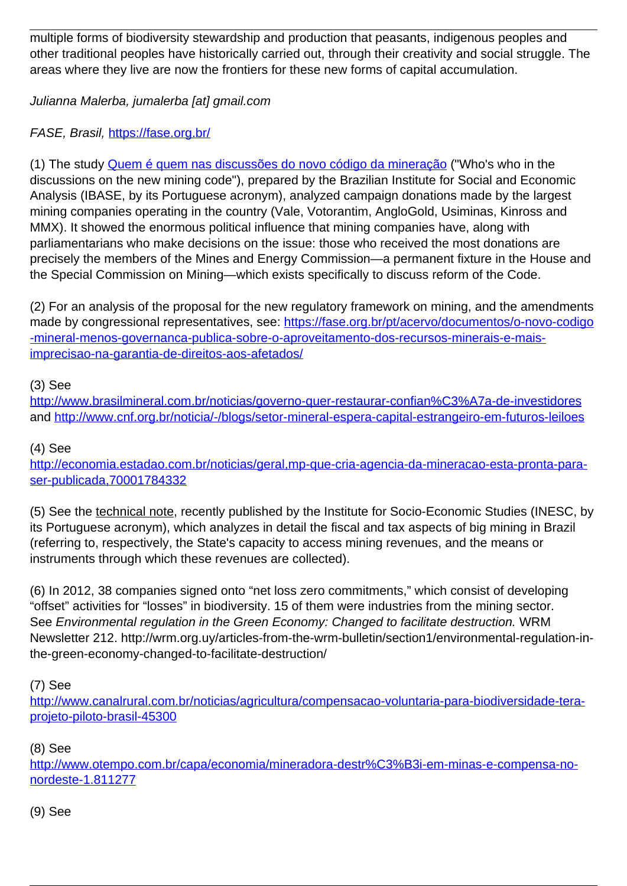multiple forms of biodiversity stewardship and production that peasants, indigenous peoples and other traditional peoples have historically carried out, through their creativity and social struggle. The areas where they live are now the frontiers for these new forms of capital accumulation.

Julianna Malerba, jumalerba [at] gmail.com

# FASE, Brasil, <https://fase.org.br/>

(1) The study [Quem é quem nas discussões do novo código da mineração](http://industriaextrativa.ibase.br/files/2015/06/2013-quem-e-quem-mineracao4.pdf) ("Who's who in the discussions on the new mining code"), prepared by the Brazilian Institute for Social and Economic Analysis (IBASE, by its Portuguese acronym), analyzed campaign donations made by the largest mining companies operating in the country (Vale, Votorantim, AngloGold, Usiminas, Kinross and MMX). It showed the enormous political influence that mining companies have, along with parliamentarians who make decisions on the issue: those who received the most donations are precisely the members of the Mines and Energy Commission—a permanent fixture in the House and the Special Commission on Mining—which exists specifically to discuss reform of the Code.

(2) For an analysis of the proposal for the new regulatory framework on mining, and the amendments made by congressional representatives, see: [https://fase.org.br/pt/acervo/documentos/o-novo-codigo](https://fase.org.br/pt/acervo/documentos/o-novo-codigo-mineral-menos-governanca-publica-sobre-o-aproveitamento-dos-recursos-minerais-e-mais-imprecisao-na-garantia-de-direitos-aos-afetados/) [-mineral-menos-governanca-publica-sobre-o-aproveitamento-dos-recursos-minerais-e-mais](https://fase.org.br/pt/acervo/documentos/o-novo-codigo-mineral-menos-governanca-publica-sobre-o-aproveitamento-dos-recursos-minerais-e-mais-imprecisao-na-garantia-de-direitos-aos-afetados/)[imprecisao-na-garantia-de-direitos-aos-afetados/](https://fase.org.br/pt/acervo/documentos/o-novo-codigo-mineral-menos-governanca-publica-sobre-o-aproveitamento-dos-recursos-minerais-e-mais-imprecisao-na-garantia-de-direitos-aos-afetados/)

#### (3) See

[http://www.brasilmineral.com.br/noticias/governo-quer-restaurar-confian%C3%A7a-de-investidores](http://www.brasilmineral.com.br/noticias/governo-quer-restaurar-confian%C3%81a-de-investidores) and <http://www.cnf.org.br/noticia/-/blogs/setor-mineral-espera-capital-estrangeiro-em-futuros-leiloes>

### (4) See

[http://economia.estadao.com.br/noticias/geral,mp-que-cria-agencia-da-mineracao-esta-pronta-para](http://economia.estadao.com.br/noticias/geral,mp-que-cria-agencia-da-mineracao-esta-pronta-para-ser-publicada,70001784332)[ser-publicada,70001784332](http://economia.estadao.com.br/noticias/geral,mp-que-cria-agencia-da-mineracao-esta-pronta-para-ser-publicada,70001784332)

(5) See the technical note, recently published by the Institute for Socio-Economic Studies (INESC, by its Portuguese acronym), which analyzes in detail the fiscal and tax aspects of big mining in Brazil (referring to, respectively, the State's capacity to access mining revenues, and the means or instruments through which these revenues are collected).

(6) In 2012, 38 companies signed onto "net loss zero commitments," which consist of developing "offset" activities for "losses" in biodiversity. 15 of them were industries from the mining sector. See Environmental regulation in the Green Economy: Changed to facilitate destruction. WRM Newsletter 212. http://wrm.org.uy/articles-from-the-wrm-bulletin/section1/environmental-regulation-inthe-green-economy-changed-to-facilitate-destruction/

(7) See

[http://www.canalrural.com.br/noticias/agricultura/compensacao-voluntaria-para-biodiversidade-tera](http://www.canalrural.com.br/noticias/agricultura/compensacao-voluntaria-para-biodiversidade-tera-projeto-piloto-brasil-45300)[projeto-piloto-brasil-45300](http://www.canalrural.com.br/noticias/agricultura/compensacao-voluntaria-para-biodiversidade-tera-projeto-piloto-brasil-45300)

## (8) See

[http://www.otempo.com.br/capa/economia/mineradora-destr%C3%B3i-em-minas-e-compensa-no](http://www.otempo.com.br/capa/economia/mineradora-destr%C3%B3i-em-minas-e-compensa-no-nordeste-1.811277)[nordeste-1.811277](http://www.otempo.com.br/capa/economia/mineradora-destr%C3%B3i-em-minas-e-compensa-no-nordeste-1.811277)

#### (9) See